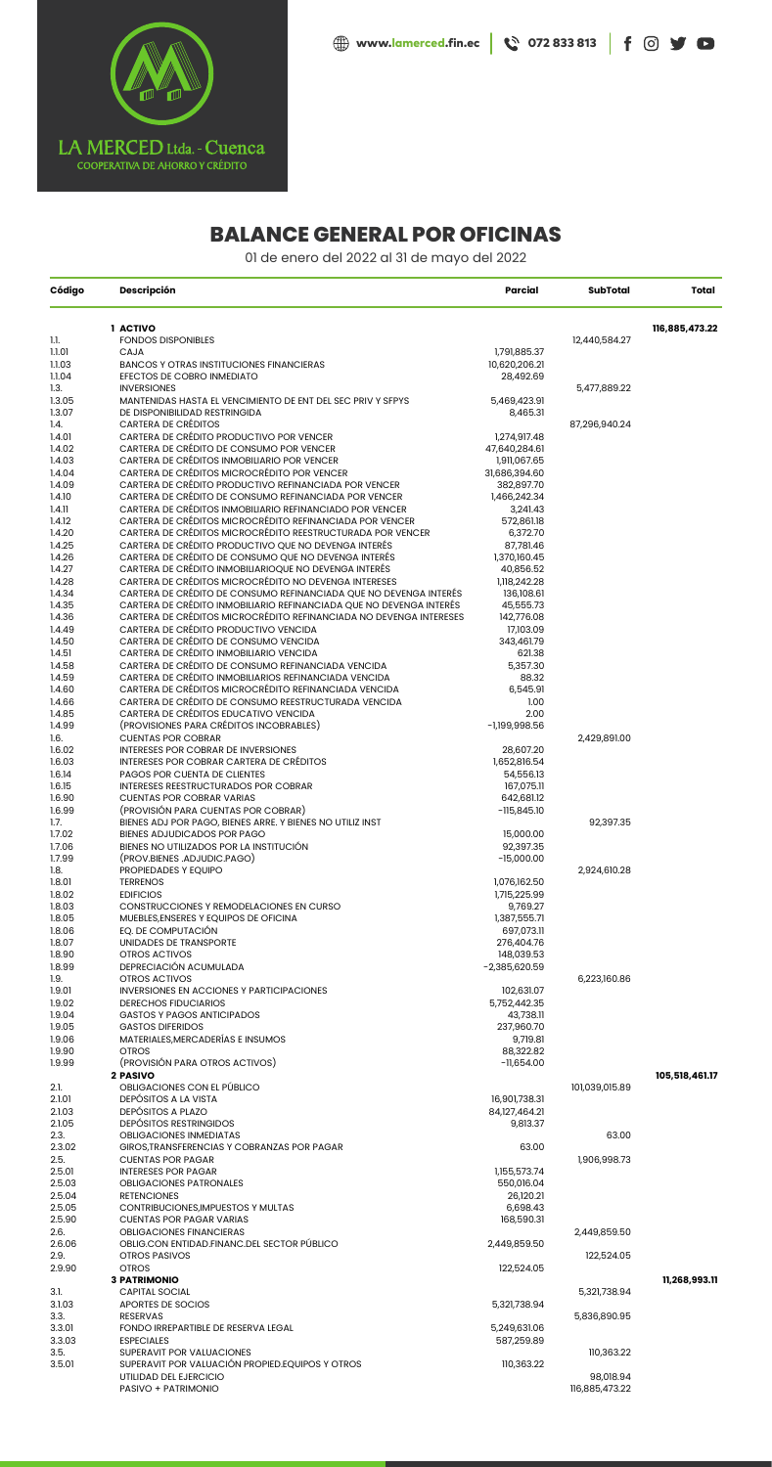

## **BALANCE GENERAL POR OFICINAS**

01 de enero del 2022 al 31 de mayo del 2022

| Código           | <b>Descripción</b>                                                                                                                        | Parcial                  | <b>SubTotal</b> | Total          |
|------------------|-------------------------------------------------------------------------------------------------------------------------------------------|--------------------------|-----------------|----------------|
|                  | 1 ACTIVO                                                                                                                                  |                          |                 | 116,885,473.22 |
| 1.1.             | <b>FONDOS DISPONIBLES</b>                                                                                                                 |                          | 12,440,584.27   |                |
| 1.1.01           | CAJA                                                                                                                                      | 1,791,885.37             |                 |                |
| 1.1.03           | <b>BANCOS Y OTRAS INSTITUCIONES FINANCIERAS</b>                                                                                           | 10,620,206.21            |                 |                |
| 1.1.04           | EFECTOS DE COBRO INMEDIATO                                                                                                                | 28,492.69                |                 |                |
| 1.3.             | <b>INVERSIONES</b>                                                                                                                        |                          | 5,477,889.22    |                |
| 1.3.05           | MANTENIDAS HASTA EL VENCIMIENTO DE ENT DEL SEC PRIV Y SFPYS                                                                               | 5,469,423.91             |                 |                |
| 1.3.07<br>1.4.   | DE DISPONIBILIDAD RESTRINGIDA<br><b>CARTERA DE CRÉDITOS</b>                                                                               | 8,465.31                 | 87,296,940.24   |                |
| 1.4.01           | CARTERA DE CRÉDITO PRODUCTIVO POR VENCER                                                                                                  | 1,274,917.48             |                 |                |
| 1.4.02           | CARTERA DE CRÉDITO DE CONSUMO POR VENCER                                                                                                  | 47,640,284.61            |                 |                |
| 1.4.03           | CARTERA DE CRÉDITOS INMOBILIARIO POR VENCER                                                                                               | 1,911,067.65             |                 |                |
| 1.4.04           | CARTERA DE CRÉDITOS MICROCRÉDITO POR VENCER                                                                                               | 31,686,394.60            |                 |                |
| 1.4.09           | CARTERA DE CRÉDITO PRODUCTIVO REFINANCIADA POR VENCER                                                                                     | 382,897.70               |                 |                |
| 1.4.10           | CARTERA DE CRÉDITO DE CONSUMO REFINANCIADA POR VENCER                                                                                     | 1,466,242.34             |                 |                |
| 1.4.11           | CARTERA DE CRÉDITOS INMOBILIARIO REFINANCIADO POR VENCER                                                                                  | 3,241.43                 |                 |                |
| 1.4.12           | CARTERA DE CRÉDITOS MICROCRÉDITO REFINANCIADA POR VENCER                                                                                  | 572,861.18               |                 |                |
| 1.4.20           | CARTERA DE CRÉDITOS MICROCRÉDITO REESTRUCTURADA POR VENCER                                                                                | 6,372.70                 |                 |                |
| 1.4.25           | CARTERA DE CRÉDITO PRODUCTIVO QUE NO DEVENGA INTERÉS                                                                                      | 87,781.46                |                 |                |
| 1.4.26           | CARTERA DE CRÉDITO DE CONSUMO QUE NO DEVENGA INTERÉS                                                                                      | 1,370,160.45             |                 |                |
| 1.4.27           | CARTERA DE CRÉDITO INMOBILIARIOQUE NO DEVENGA INTERÉS                                                                                     | 40,856.52                |                 |                |
| 1.4.28           | CARTERA DE CRÉDITOS MICROCRÉDITO NO DEVENGA INTERESES                                                                                     | 1,118,242.28             |                 |                |
| 1.4.34           | CARTERA DE CRÉDITO DE CONSUMO REFINANCIADA QUE NO DEVENGA INTERÉS                                                                         | 136,108.61               |                 |                |
| 1.4.35<br>1.4.36 | CARTERA DE CRÉDITO INMOBILIARIO REFINANCIADA QUE NO DEVENGA INTERÉS<br>CARTERA DE CRÉDITOS MICROCRÉDITO REFINANCIADA NO DEVENGA INTERESES | 45,555.73                |                 |                |
| 1.4.49           | CARTERA DE CRÉDITO PRODUCTIVO VENCIDA                                                                                                     | 142,776.08<br>17,103.09  |                 |                |
| 1.4.50           | CARTERA DE CRÉDITO DE CONSUMO VENCIDA                                                                                                     | 343,461.79               |                 |                |
| 1.4.51           | CARTERA DE CRÉDITO INMOBILIARIO VENCIDA                                                                                                   | 621.38                   |                 |                |
| 1.4.58           | CARTERA DE CRÉDITO DE CONSUMO REFINANCIADA VENCIDA                                                                                        | 5,357.30                 |                 |                |
| 1.4.59           | CARTERA DE CRÉDITO INMOBILIARIOS REFINANCIADA VENCIDA                                                                                     | 88.32                    |                 |                |
| 1.4.60           | CARTERA DE CRÉDITOS MICROCRÉDITO REFINANCIADA VENCIDA                                                                                     | 6,545.91                 |                 |                |
| 1.4.66           | CARTERA DE CRÉDITO DE CONSUMO REESTRUCTURADA VENCIDA                                                                                      | 1.00                     |                 |                |
| 1.4.85           | CARTERA DE CRÉDITOS EDUCATIVO VENCIDA                                                                                                     | 2.00                     |                 |                |
| 1.4.99           | (PROVISIONES PARA CRÉDITOS INCOBRABLES)                                                                                                   | $-1,199,998.56$          |                 |                |
| 1.6.             | <b>CUENTAS POR COBRAR</b>                                                                                                                 |                          | 2,429,891.00    |                |
| 1.6.02           | INTERESES POR COBRAR DE INVERSIONES                                                                                                       | 28,607.20                |                 |                |
| 1.6.03           | INTERESES POR COBRAR CARTERA DE CRÉDITOS                                                                                                  | 1,652,816.54             |                 |                |
| 1.6.14           | PAGOS POR CUENTA DE CLIENTES                                                                                                              | 54,556.13                |                 |                |
| 1.6.15<br>1.6.90 | <b>INTERESES REESTRUCTURADOS POR COBRAR</b><br><b>CUENTAS POR COBRAR VARIAS</b>                                                           | 167,075.11<br>642,681.12 |                 |                |
| 1.6.99           | (PROVISIÓN PARA CUENTAS POR COBRAR)                                                                                                       | -115,845.10              |                 |                |
| 1.7.             | BIENES ADJ POR PAGO, BIENES ARRE. Y BIENES NO UTILIZ INST                                                                                 |                          | 92,397.35       |                |
| 1.7.02           | BIENES ADJUDICADOS POR PAGO                                                                                                               | 15,000.00                |                 |                |
| 1.7.06           | BIENES NO UTILIZADOS POR LA INSTITUCIÓN                                                                                                   | 92,397.35                |                 |                |
| 1.7.99           | (PROV.BIENES.ADJUDIC.PAGO)                                                                                                                | $-15,000.00$             |                 |                |
| 1.8.             | PROPIEDADES Y EQUIPO                                                                                                                      |                          | 2,924,610.28    |                |
| 1.8.01           | <b>TERRENOS</b>                                                                                                                           | 1,076,162.50             |                 |                |
| 1.8.02           | <b>EDIFICIOS</b>                                                                                                                          | 1,715,225.99             |                 |                |
| 1.8.03           | CONSTRUCCIONES Y REMODELACIONES EN CURSO                                                                                                  | 9,769.27                 |                 |                |
| 1.8.05           | MUEBLES, ENSERES Y EQUIPOS DE OFICINA                                                                                                     | 1,387,555.71             |                 |                |
| 1.8.06           | EQ. DE COMPUTACIÓN                                                                                                                        | 697,073.11               |                 |                |
| 1.8.07<br>1.8.90 | UNIDADES DE TRANSPORTE<br><b>OTROS ACTIVOS</b>                                                                                            | 276,404.76<br>148,039.53 |                 |                |
| 1.8.99           | DEPRECIACIÓN ACUMULADA                                                                                                                    | $-2,385,620.59$          |                 |                |
| 1.9.             | OTROS ACTIVOS                                                                                                                             |                          | 6,223,160.86    |                |
| 1.9.01           | <b>INVERSIONES EN ACCIONES Y PARTICIPACIONES</b>                                                                                          | 102,631.07               |                 |                |
| 1.9.02           | <b>DERECHOS FIDUCIARIOS</b>                                                                                                               | 5,752,442.35             |                 |                |
| 1.9.04           | <b>GASTOS Y PAGOS ANTICIPADOS</b>                                                                                                         | 43,738.11                |                 |                |
| 1.9.05           | <b>GASTOS DIFERIDOS</b>                                                                                                                   | 237,960.70               |                 |                |
| 1.9.06           | MATERIALES, MERCADERÍAS E INSUMOS                                                                                                         | 9,719.81                 |                 |                |
| 1.9.90           | <b>OTROS</b>                                                                                                                              | 88,322.82                |                 |                |
| 1.9.99           | (PROVISIÓN PARA OTROS ACTIVOS)                                                                                                            | $-11,654.00$             |                 |                |
|                  | 2 PASIVO                                                                                                                                  |                          |                 | 105,518,461.17 |
| 2.1.             | OBLIGACIONES CON EL PÚBLICO                                                                                                               |                          | 101,039,015.89  |                |
| 2.1.01           | DEPÓSITOS A LA VISTA                                                                                                                      | 16,901,738.31            |                 |                |
| 2.1.03           | DEPÓSITOS A PLAZO<br><b>DEPÓSITOS RESTRINGIDOS</b>                                                                                        | 84,127,464.21            |                 |                |
| 2.1.05<br>2.3.   | <b>OBLIGACIONES INMEDIATAS</b>                                                                                                            | 9,813.37                 | 63.00           |                |
| 2.3.02           | GIROS, TRANSFERENCIAS Y COBRANZAS POR PAGAR                                                                                               | 63.00                    |                 |                |
| 2.5.             | <b>CUENTAS POR PAGAR</b>                                                                                                                  |                          | 1,906,998.73    |                |
|                  |                                                                                                                                           |                          |                 |                |

| <b>INTERESES POR PAGAR</b>                       | 1,155,573.74 |                |               |
|--------------------------------------------------|--------------|----------------|---------------|
| <b>OBLIGACIONES PATRONALES</b>                   | 550,016.04   |                |               |
| <b>RETENCIONES</b>                               | 26,120.21    |                |               |
| CONTRIBUCIONES, IMPUESTOS Y MULTAS               | 6,698.43     |                |               |
| <b>CUENTAS POR PAGAR VARIAS</b>                  | 168,590.31   |                |               |
| <b>OBLIGACIONES FINANCIERAS</b>                  |              | 2,449,859.50   |               |
| OBLIG.CON ENTIDAD.FINANC.DEL SECTOR PÚBLICO      | 2,449,859.50 |                |               |
| <b>OTROS PASIVOS</b>                             |              | 122,524.05     |               |
| <b>OTROS</b>                                     | 122,524.05   |                |               |
| <b>3 PATRIMONIO</b>                              |              |                | 11,268,993.11 |
| <b>CAPITAL SOCIAL</b>                            |              | 5,321,738.94   |               |
| APORTES DE SOCIOS                                | 5,321,738.94 |                |               |
| RESERVAS                                         |              | 5,836,890.95   |               |
| FONDO IRREPARTIBLE DE RESERVA LEGAL              | 5,249,631.06 |                |               |
| <b>ESPECIALES</b>                                | 587,259.89   |                |               |
| SUPERAVIT POR VALUACIONES                        |              | 110,363.22     |               |
| SUPERAVIT POR VALUACIÓN PROPIED. EQUIPOS Y OTROS | 110,363.22   |                |               |
| UTILIDAD DEL EJERCICIO                           |              | 98,018.94      |               |
| PASIVO + PATRIMONIO                              |              | 116,885,473.22 |               |
|                                                  |              |                |               |